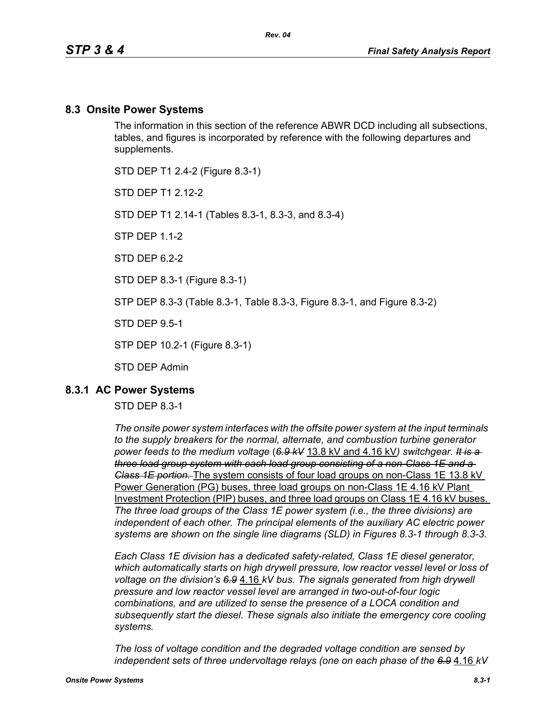### **8.3 Onsite Power Systems**

The information in this section of the reference ABWR DCD including all subsections, tables, and figures is incorporated by reference with the following departures and supplements.

STD DEP T1 2.4-2 (Figure 8.3-1)

STD DFP T1 2 12-2

STD DEP T1 2.14-1 (Tables 8.3-1, 8.3-3, and 8.3-4)

STP DEP 1.1-2

STD DFP 62-2

STD DEP 8.3-1 (Figure 8.3-1)

STP DEP 8.3-3 (Table 8.3-1, Table 8.3-3, Figure 8.3-1, and Figure 8.3-2)

STD DEP 9.5-1

STP DEP 10.2-1 (Figure 8.3-1)

STD DEP Admin

### **8.3.1 AC Power Systems**

#### STD DEP 8.3-1

*The onsite power system interfaces with the offsite power system at the input terminals to the supply breakers for the normal, alternate, and combustion turbine generator power feeds to the medium voltage* (*6.9 kV* 13.8 kV and 4.16 kV*) switchgear. It is a three load group system with each load group consisting of a non-Class 1E and a Class 1E portion.* The system consists of four load groups on non-Class 1E 13.8 kV Power Generation (PG) buses, three load groups on non-Class 1E 4.16 kV Plant Investment Protection (PIP) buses, and three load groups on Class 1E 4.16 kV buses. *The three load groups of the Class 1E power system (i.e., the three divisions) are independent of each other. The principal elements of the auxiliary AC electric power systems are shown on the single line diagrams (SLD) in Figures 8.3-1 through 8.3-3.*

*Each Class 1E division has a dedicated safety-related, Class 1E diesel generator, which automatically starts on high drywell pressure, low reactor vessel level or loss of voltage on the division's 6.9* 4.16 *kV bus. The signals generated from high drywell pressure and low reactor vessel level are arranged in two-out-of-four logic combinations, and are utilized to sense the presence of a LOCA condition and subsequently start the diesel. These signals also initiate the emergency core cooling systems.*

*The loss of voltage condition and the degraded voltage condition are sensed by independent sets of three undervoltage relays (one on each phase of the 6.9* 4.16 *kV*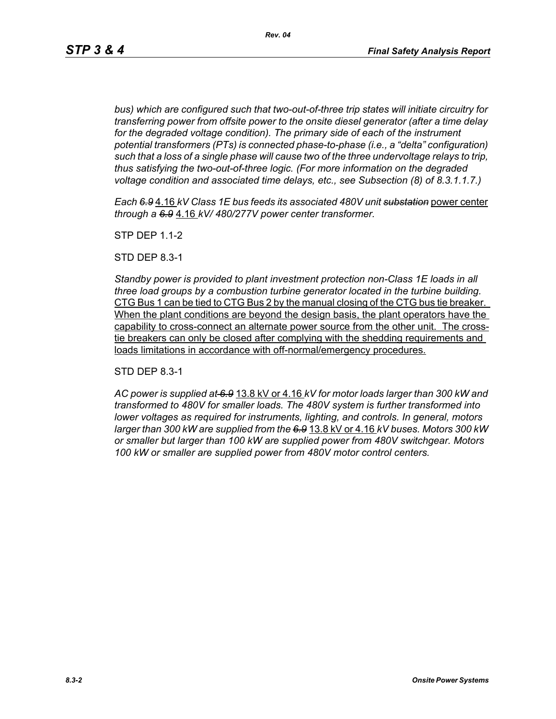*bus) which are configured such that two-out-of-three trip states will initiate circuitry for transferring power from offsite power to the onsite diesel generator (after a time delay*  for the degraded voltage condition). The primary side of each of the instrument *potential transformers (PTs) is connected phase-to-phase (i.e., a "delta" configuration) such that a loss of a single phase will cause two of the three undervoltage relays to trip, thus satisfying the two-out-of-three logic. (For more information on the degraded voltage condition and associated time delays, etc., see Subsection (8) of 8.3.1.1.7.)*

*Each 6.9* 4.16 *kV Class 1E bus feeds its associated 480V unit substation* power center *through a 6.9* 4.16 *kV/ 480/277V power center transformer.*

STP DEP 1.1-2

STD DEP 8.3-1

*Standby power is provided to plant investment protection non-Class 1E loads in all three load groups by a combustion turbine generator located in the turbine building.* CTG Bus 1 can be tied to CTG Bus 2 by the manual closing of the CTG bus tie breaker. When the plant conditions are beyond the design basis, the plant operators have the capability to cross-connect an alternate power source from the other unit. The crosstie breakers can only be closed after complying with the shedding requirements and loads limitations in accordance with off-normal/emergency procedures.

STD DEP 8.3-1

*AC power is supplied at 6.9* 13.8 kV or 4.16 *kV for motor loads larger than 300 kW and transformed to 480V for smaller loads. The 480V system is further transformed into lower voltages as required for instruments, lighting, and controls. In general, motors larger than 300 kW are supplied from the 6.9* 13.8 kV or 4.16 *kV buses. Motors 300 kW or smaller but larger than 100 kW are supplied power from 480V switchgear. Motors 100 kW or smaller are supplied power from 480V motor control centers.*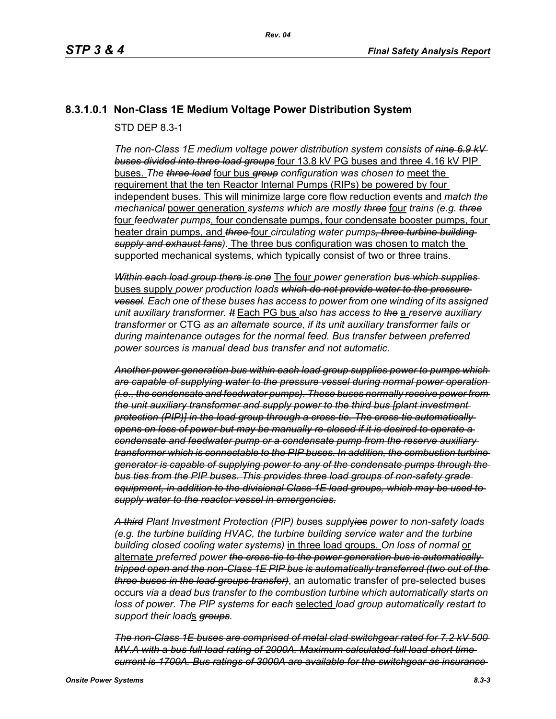# **8.3.1.0.1 Non-Class 1E Medium Voltage Power Distribution System**

STD DEP 8.3-1

*The non-Class 1E medium voltage power distribution system consists of nine 6.9 kV buses divided into three load groups* four 13.8 kV PG buses and three 4.16 kV PIP buses. *The three load* four bus *group configuration was chosen to* meet the requirement that the ten Reactor Internal Pumps (RIPs) be powered by four independent buses. This will minimize large core flow reduction events and *match the mechanical* power generation *systems which are mostly three* four *trains (e.g. three* four *feedwater pumps*, four condensate pumps, four condensate booster pumps, four heater drain pumps, and *three* four *circulating water pumps, three turbine building supply and exhaust fans)*. The three bus configuration was chosen to match the supported mechanical systems, which typically consist of two or three trains.

*Within each load group there is one* The four *power generation bus which supplies*  buses supply *power production loads which do not provide water to the pressure vessel. Each one of these buses has access to power from one winding of its assigned unit auxiliary transformer. It* Each PG bus *also has access to the* a *reserve auxiliary transformer* or CTG *as an alternate source, if its unit auxiliary transformer fails or during maintenance outages for the normal feed. Bus transfer between preferred power sources is manual dead bus transfer and not automatic.*

*Another power generation bus within each load group supplies power to pumps which are capable of supplying water to the pressure vessel during normal power operation (i.e., the condensate and feedwater pumps). These buses normally receive power from the unit auxiliary transformer and supply power to the third bus [plant investment protection (PIP)] in the load group through a cross-tie. The cross-tie automatically opens on loss of power but may be manually re-closed if it is desired to operate a condensate and feedwater pump or a condensate pump from the reserve auxiliary transformer which is connectable to the PIP buses. In addition, the combustion turbine generator is capable of supplying power to any of the condensate pumps through the bus ties from the PIP buses. This provides three load groups of non-safety grade equipment, in addition to the divisional Class 1E load groups, which may be used to supply water to the reactor vessel in emergencies.*

*A third Plant Investment Protection (PIP) bus*es *suppl*y*ies power to non-safety loads (e.g. the turbine building HVAC, the turbine building service water and the turbine building closed cooling water systems)* in three load groups. *On loss of normal* or alternate *preferred power the cross-tie to the power generation bus is automatically tripped open and the non-Class 1E PIP bus is automatically transferred (two out of the three buses in the load groups transfer)*, an automatic transfer of pre-selected buses occurs *via a dead bus transfer to the combustion turbine which automatically starts on loss of power. The PIP systems for each* selected *load group automatically restart to support their load*s *groups.*

*The non-Class 1E buses are comprised of metal clad switchgear rated for 7.2 kV 500 MV.A with a bus full load rating of 2000A. Maximum calculated full load short time current is 1700A. Bus ratings of 3000A are available for the switchgear as insurance*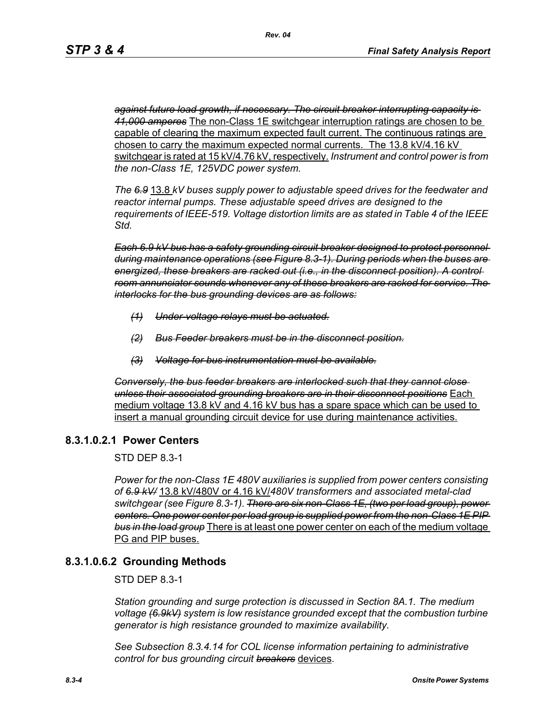*against future load growth, if necessary. The circuit breaker interrupting capacity is 41,000 amperes* The non-Class 1E switchgear interruption ratings are chosen to be capable of clearing the maximum expected fault current. The continuous ratings are chosen to carry the maximum expected normal currents. The 13.8 kV/4.16 kV switchgear is rated at 15 kV/4.76 kV, respectively. *Instrument and control power is from the non-Class 1E, 125VDC power system.*

*The 6.9* 13.8 *kV buses supply power to adjustable speed drives for the feedwater and reactor internal pumps. These adjustable speed drives are designed to the requirements of IEEE-519. Voltage distortion limits are as stated in Table 4 of the IEEE Std.*

*Each 6.9 kV bus has a safety grounding circuit breaker designed to protect personnel during maintenance operations (see Figure 8.3-1). During periods when the buses are energized, these breakers are racked out (i.e., in the disconnect position). A control room annunciator sounds whenever any of these breakers are racked for service. The interlocks for the bus grounding devices are as follows:*

- *(1) Under-voltage relays must be actuated.*
- *(2) Bus Feeder breakers must be in the disconnect position.*
- *(3) Voltage for bus instrumentation must be available.*

*Conversely, the bus feeder breakers are interlocked such that they cannot close unless their associated grounding breakers are in their disconnect positions* Each medium voltage 13.8 kV and 4.16 kV bus has a spare space which can be used to insert a manual grounding circuit device for use during maintenance activities.

### **8.3.1.0.2.1 Power Centers**

STD DEP 8.3-1

*Power for the non-Class 1E 480V auxiliaries is supplied from power centers consisting of 6.9 kV/* 13.8 kV/480V or 4.16 kV/*480V transformers and associated metal-clad switchgear (see Figure 8.3-1). There are six non-Class 1E, (two per load group), power centers. One power center per load group is supplied power from the non-Class 1E PIP bus in the load group* There is at least one power center on each of the medium voltage PG and PIP buses.

# **8.3.1.0.6.2 Grounding Methods**

STD DEP 8.3-1

*Station grounding and surge protection is discussed in Section 8A.1. The medium voltage (6.9kV) system is low resistance grounded except that the combustion turbine generator is high resistance grounded to maximize availability.*

*See Subsection 8.3.4.14 for COL license information pertaining to administrative control for bus grounding circuit breakers* devices.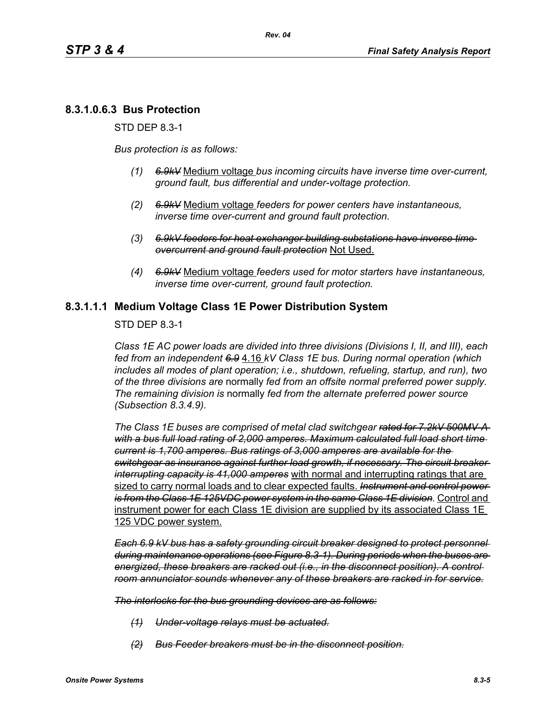# **8.3.1.0.6.3 Bus Protection**

STD DEP 8.3-1

*Bus protection is as follows:*

- *(1) 6.9kV* Medium voltage *bus incoming circuits have inverse time over-current, ground fault, bus differential and under-voltage protection.*
- *(2) 6.9kV* Medium voltage *feeders for power centers have instantaneous, inverse time over-current and ground fault protection.*
- *(3) 6.9kV feeders for heat exchanger building substations have inverse time overcurrent and ground fault protection* Not Used.
- *(4) 6.9kV* Medium voltage *feeders used for motor starters have instantaneous, inverse time over-current, ground fault protection.*

### **8.3.1.1.1 Medium Voltage Class 1E Power Distribution System**

STD DEP 8.3-1

*Class 1E AC power loads are divided into three divisions (Divisions I, II, and III), each fed from an independent 6.9* 4.16 *kV Class 1E bus. During normal operation (which includes all modes of plant operation; i.e., shutdown, refueling, startup, and run), two of the three divisions are* normally *fed from an offsite normal preferred power supply. The remaining division is* normally *fed from the alternate preferred power source (Subsection 8.3.4.9).*

*The Class 1E buses are comprised of metal clad switchgear rated for 7.2kV 500MV-A with a bus full load rating of 2,000 amperes. Maximum calculated full load short time current is 1,700 amperes. Bus ratings of 3,000 amperes are available for the switchgear as insurance against further load growth, if necessary. The circuit breaker interrupting capacity is 41,000 amperes* with normal and interrupting ratings that are sized to carry normal loads and to clear expected faults. *Instrument and control power is from the Class 1E 125VDC power system in the same Class 1E division.* Control and instrument power for each Class 1E division are supplied by its associated Class 1E 125 VDC power system.

*Each 6.9 kV bus has a safety grounding circuit breaker designed to protect personnel during maintenance operations (see Figure 8.3-1). During periods when the buses are energized, these breakers are racked out (i.e., in the disconnect position). A control room annunciator sounds whenever any of these breakers are racked in for service.*

*The interlocks for the bus grounding devices are as follows:*

- *(1) Under-voltage relays must be actuated.*
- *(2) Bus Feeder breakers must be in the disconnect position.*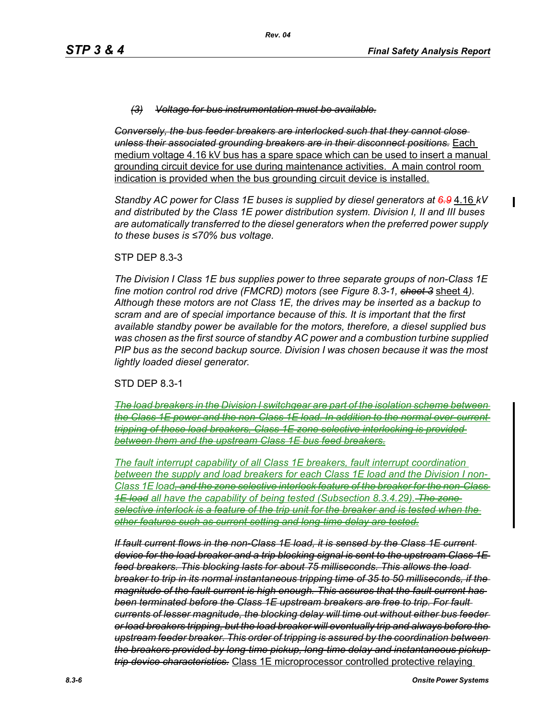#### *(3) Voltage for bus instrumentation must be available.*

*Conversely, the bus feeder breakers are interlocked such that they cannot close unless their associated grounding breakers are in their disconnect positions.* Each medium voltage 4.16 kV bus has a spare space which can be used to insert a manual grounding circuit device for use during maintenance activities. A main control room indication is provided when the bus grounding circuit device is installed.

*Standby AC power for Class 1E buses is supplied by diesel generators at 6.9* 4.16 *kV and distributed by the Class 1E power distribution system. Division I, II and III buses are automatically transferred to the diesel generators when the preferred power supply to these buses is ≤70% bus voltage.*

#### STP DEP 8.3-3

*The Division I Class 1E bus supplies power to three separate groups of non-Class 1E fine motion control rod drive (FMCRD) motors (see Figure 8.3-1, sheet 3* sheet 4*). Although these motors are not Class 1E, the drives may be inserted as a backup to scram and are of special importance because of this. It is important that the first available standby power be available for the motors, therefore, a diesel supplied bus was chosen as the first source of standby AC power and a combustion turbine supplied PIP bus as the second backup source. Division I was chosen because it was the most lightly loaded diesel generator.*

STD DEP 8.3-1

*The load breakers in the Division I switchgear are part of the isolation scheme between the Class 1E power and the non-Class 1E load. In addition to the normal over-current tripping of these load breakers, Class 1E zone selective interlocking is provided between them and the upstream Class 1E bus feed breakers.*

*The fault interrupt capability of all Class 1E breakers, fault interrupt coordination between the supply and load breakers for each Class 1E load and the Division I non-Class 1E load, and the zone selective interlock feature of the breaker for the non-Class 1E load all have the capability of being tested (Subsection 8.3.4.29). The zone selective interlock is a feature of the trip unit for the breaker and is tested when the other features such as current setting and long-time delay are tested.*

*If fault current flows in the non-Class 1E load, it is sensed by the Class 1E current device for the load breaker and a trip blocking signal is sent to the upstream Class 1E feed breakers. This blocking lasts for about 75 milliseconds. This allows the load breaker to trip in its normal instantaneous tripping time of 35 to 50 milliseconds, if the magnitude of the fault current is high enough. This assures that the fault current has been terminated before the Class 1E upstream breakers are free to trip. For fault currents of lesser magnitude, the blocking delay will time out without either bus feeder or load breakers tripping, but the load breaker will eventually trip and always before the upstream feeder breaker. This order of tripping is assured by the coordination between the breakers provided by long-time pickup, long-time delay and instantaneous pickup trip device characteristics.* Class 1E microprocessor controlled protective relaying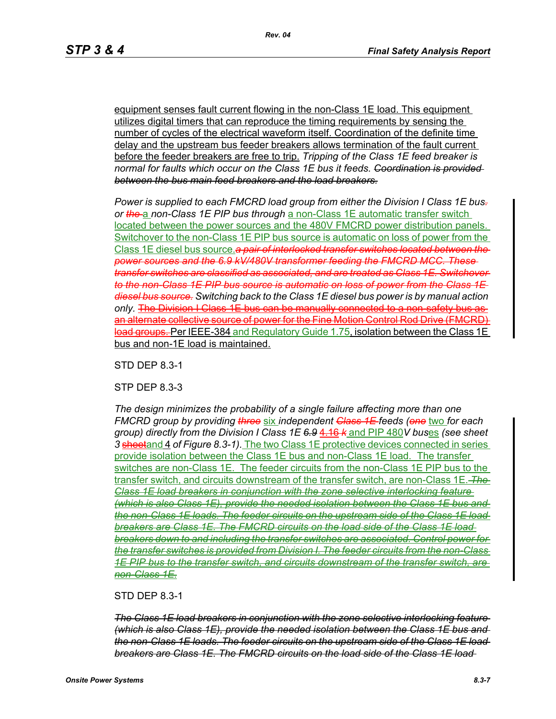equipment senses fault current flowing in the non-Class 1E load. This equipment utilizes digital timers that can reproduce the timing requirements by sensing the number of cycles of the electrical waveform itself. Coordination of the definite time delay and the upstream bus feeder breakers allows termination of the fault current before the feeder breakers are free to trip. *Tripping of the Class 1E feed breaker is normal for faults which occur on the Class 1E bus it feeds. Coordination is provided between the bus main feed breakers and the load breakers.*

*Power is supplied to each FMCRD load group from either the Division I Class 1E bus. or the* a *non-Class 1E PIP bus through* a non-Class 1E automatic transfer switch located between the power sources and the 480V FMCRD power distribution panels. Switchover to the non-Class 1E PIP bus source is automatic on loss of power from the Class 1E diesel bus source.*a pair of interlocked transfer switches located between the power sources and the 6.9 kV/480V transformer feeding the FMCRD MCC. These transfer switches are classified as associated, and are treated as Class 1E. Switchover to the non-Class 1E PIP bus source is automatic on loss of power from the Class 1E diesel bus source. Switching back to the Class 1E diesel bus power is by manual action only.* The Division I Class 1E bus can be manually connected to a non-safety bus as an alternate collective source of power for the Fine Motion Control Rod Drive (FMCRD) load groups. Per IEEE-384 and Regulatory Guide 1.75, isolation between the Class 1E bus and non-1E load is maintained.

STD DEP 8.3-1

STP DEP 8.3-3

*The design minimizes the probability of a single failure affecting more than one FMCRD group by providing three* six *independent Class 1E feeds (one* two *for each group) directly from the Division I Class 1E 6.9* 4.16 *k* and PIP 480*V bus*es *(see sheet 3* sheetand 4 *of Figure 8.3-1).* The two Class 1E protective devices connected in series provide isolation between the Class 1E bus and non-Class 1E load. The transfer switches are non-Class 1E. The feeder circuits from the non-Class 1E PIP bus to the transfer switch, and circuits downstream of the transfer switch, are non-Class 1E. *The Class 1E load breakers in conjunction with the zone selective interlocking feature (which is also Class 1E), provide the needed isolation between the Class 1E bus and the non-Class 1E loads. The feeder circuits on the upstream side of the Class 1E load breakers are Class 1E. The FMCRD circuits on the load side of the Class 1E load breakers down to and including the transfer switches are associated. Control power for the transfer switches is provided from Division I. The feeder circuits from the non-Class 1E PIP bus to the transfer switch, and circuits downstream of the transfer switch, are non-Class 1E.*

#### STD DEP 8.3-1

*The Class 1E load breakers in conjunction with the zone selective interlocking feature (which is also Class 1E), provide the needed isolation between the Class 1E bus and the non-Class 1E loads. The feeder circuits on the upstream side of the Class 1E load breakers are Class 1E. The FMCRD circuits on the load side of the Class 1E load*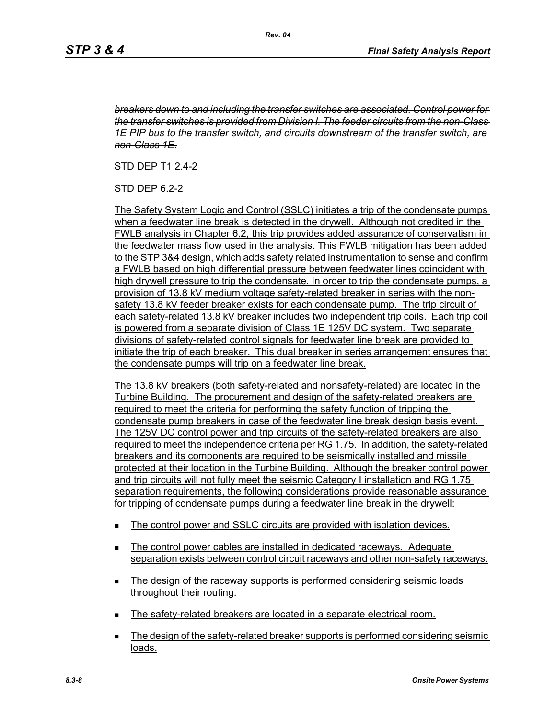*breakers down to and including the transfer switches are associated. Control power for the transfer switches is provided from Division I. The feeder circuits from the non-Class 1E PIP bus to the transfer switch, and circuits downstream of the transfer switch, are non-Class 1E.*

STD DEP T1 2.4-2

### STD DEP 6.2-2

The Safety System Logic and Control (SSLC) initiates a trip of the condensate pumps when a feedwater line break is detected in the drywell. Although not credited in the FWLB analysis in Chapter 6.2, this trip provides added assurance of conservatism in the feedwater mass flow used in the analysis. This FWLB mitigation has been added to the STP 3&4 design, which adds safety related instrumentation to sense and confirm a FWLB based on high differential pressure between feedwater lines coincident with high drywell pressure to trip the condensate. In order to trip the condensate pumps, a provision of 13.8 kV medium voltage safety-related breaker in series with the nonsafety 13.8 kV feeder breaker exists for each condensate pump. The trip circuit of each safety-related 13.8 kV breaker includes two independent trip coils. Each trip coil is powered from a separate division of Class 1E 125V DC system. Two separate divisions of safety-related control signals for feedwater line break are provided to initiate the trip of each breaker. This dual breaker in series arrangement ensures that the condensate pumps will trip on a feedwater line break.

The 13.8 kV breakers (both safety-related and nonsafety-related) are located in the Turbine Building. The procurement and design of the safety-related breakers are required to meet the criteria for performing the safety function of tripping the condensate pump breakers in case of the feedwater line break design basis event. The 125V DC control power and trip circuits of the safety-related breakers are also required to meet the independence criteria per RG 1.75. In addition, the safety-related breakers and its components are required to be seismically installed and missile protected at their location in the Turbine Building. Although the breaker control power and trip circuits will not fully meet the seismic Category I installation and RG 1.75 separation requirements, the following considerations provide reasonable assurance for tripping of condensate pumps during a feedwater line break in the drywell:

- The control power and SSLC circuits are provided with isolation devices.
- **The control power cables are installed in dedicated raceways. Adequate** separation exists between control circuit raceways and other non-safety raceways.
- The design of the raceway supports is performed considering seismic loads throughout their routing.
- The safety-related breakers are located in a separate electrical room.
- **The design of the safety-related breaker supports is performed considering seismic** loads.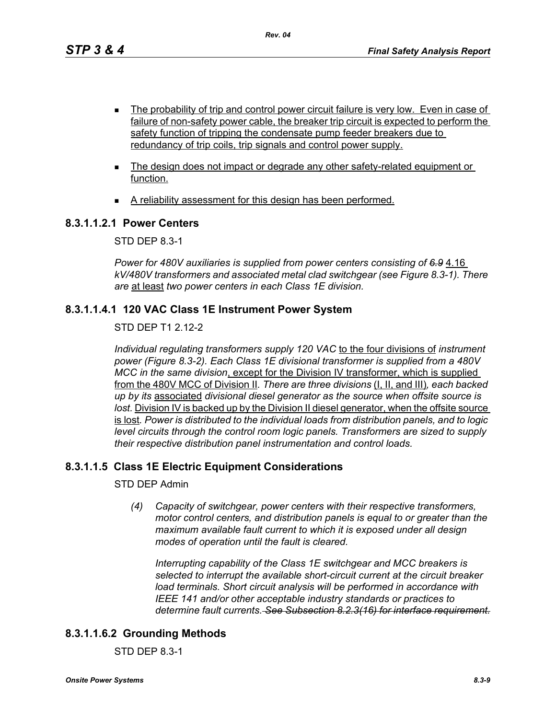- **The probability of trip and control power circuit failure is very low. Even in case of** failure of non-safety power cable, the breaker trip circuit is expected to perform the safety function of tripping the condensate pump feeder breakers due to redundancy of trip coils, trip signals and control power supply.
- The design does not impact or degrade any other safety-related equipment or function.
- A reliability assessment for this design has been performed.

### **8.3.1.1.2.1 Power Centers**

STD DEP 8.3-1

*Power for 480V auxiliaries is supplied from power centers consisting of 6.9* 4.16 *kV/480V transformers and associated metal clad switchgear (see Figure 8.3-1). There are* at least *two power centers in each Class 1E division.*

### **8.3.1.1.4.1 120 VAC Class 1E Instrument Power System**

STD DEP T1 2.12-2

*Individual regulating transformers supply 120 VAC* to the four divisions of *instrument power (Figure 8.3-2). Each Class 1E divisional transformer is supplied from a 480V MCC in the same division*, except for the Division IV transformer, which is supplied from the 480V MCC of Division II*. There are three divisions* (I, II, and III)*, each backed up by its* associated *divisional diesel generator as the source when offsite source is lost.* Division IV is backed up by the Division II diesel generator, when the offsite source is lost*. Power is distributed to the individual loads from distribution panels, and to logic level circuits through the control room logic panels. Transformers are sized to supply their respective distribution panel instrumentation and control loads.*

# **8.3.1.1.5 Class 1E Electric Equipment Considerations**

STD DEP Admin

*(4) Capacity of switchgear, power centers with their respective transformers, motor control centers, and distribution panels is equal to or greater than the maximum available fault current to which it is exposed under all design modes of operation until the fault is cleared.*

*Interrupting capability of the Class 1E switchgear and MCC breakers is selected to interrupt the available short-circuit current at the circuit breaker load terminals. Short circuit analysis will be performed in accordance with IEEE 141 and/or other acceptable industry standards or practices to determine fault currents. See Subsection 8.2.3(16) for interface requirement.*

# **8.3.1.1.6.2 Grounding Methods**

STD DEP 8.3-1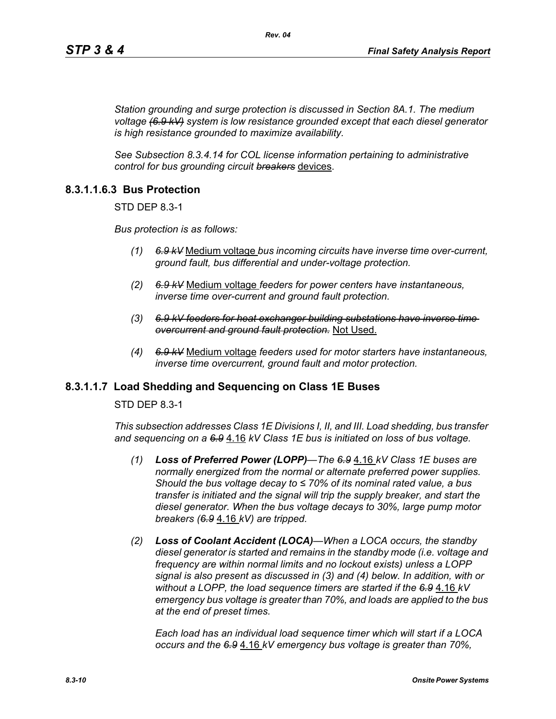*Station grounding and surge protection is discussed in Section 8A.1. The medium voltage (6.9 kV) system is low resistance grounded except that each diesel generator is high resistance grounded to maximize availability.*

*See Subsection 8.3.4.14 for COL license information pertaining to administrative control for bus grounding circuit breakers* devices.

### **8.3.1.1.6.3 Bus Protection**

STD DEP 8.3-1

*Bus protection is as follows:*

- *(1) 6.9 kV* Medium voltage *bus incoming circuits have inverse time over-current, ground fault, bus differential and under-voltage protection.*
- *(2) 6.9 kV* Medium voltage *feeders for power centers have instantaneous, inverse time over-current and ground fault protection.*
- *(3) 6.9 kV feeders for heat exchanger building substations have inverse time overcurrent and ground fault protection.* Not Used.
- *(4) 6.9 kV* Medium voltage *feeders used for motor starters have instantaneous, inverse time overcurrent, ground fault and motor protection.*

### **8.3.1.1.7 Load Shedding and Sequencing on Class 1E Buses**

STD DEP 8.3-1

*This subsection addresses Class 1E Divisions I, II, and III. Load shedding, bus transfer and sequencing on a 6.9* 4.16 *kV Class 1E bus is initiated on loss of bus voltage.*

- *(1) Loss of Preferred Power (LOPP)—The 6.9* 4.16 *kV Class 1E buses are normally energized from the normal or alternate preferred power supplies. Should the bus voltage decay to ≤ 70% of its nominal rated value, a bus transfer is initiated and the signal will trip the supply breaker, and start the diesel generator. When the bus voltage decays to 30%, large pump motor breakers (6.9* 4.16 *kV) are tripped.*
- *(2) Loss of Coolant Accident (LOCA)—When a LOCA occurs, the standby diesel generator is started and remains in the standby mode (i.e. voltage and frequency are within normal limits and no lockout exists) unless a LOPP signal is also present as discussed in (3) and (4) below. In addition, with or without a LOPP, the load sequence timers are started if the 6.9* 4.16 *kV emergency bus voltage is greater than 70%, and loads are applied to the bus at the end of preset times.*

*Each load has an individual load sequence timer which will start if a LOCA occurs and the 6.9* 4.16 *kV emergency bus voltage is greater than 70%,*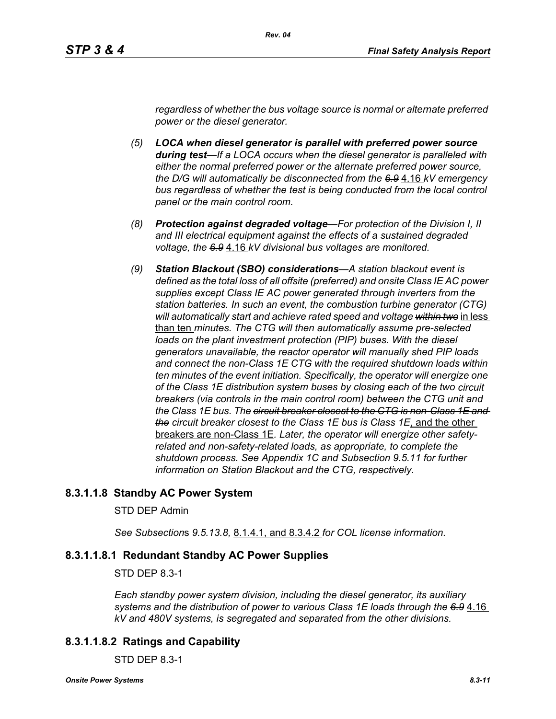*regardless of whether the bus voltage source is normal or alternate preferred power or the diesel generator.*

- *(5) LOCA when diesel generator is parallel with preferred power source during test—If a LOCA occurs when the diesel generator is paralleled with either the normal preferred power or the alternate preferred power source, the D/G will automatically be disconnected from the 6.9* 4.16 *kV emergency bus regardless of whether the test is being conducted from the local control panel or the main control room.*
- *(8) Protection against degraded voltage—For protection of the Division I, II and III electrical equipment against the effects of a sustained degraded voltage, the 6.9* 4.16 *kV divisional bus voltages are monitored.*
- *(9) Station Blackout (SBO) considerations—A station blackout event is defined as the total loss of all offsite (preferred) and onsite Class IE AC power supplies except Class IE AC power generated through inverters from the station batteries. In such an event, the combustion turbine generator (CTG) will automatically start and achieve rated speed and voltage within two* in less than ten *minutes. The CTG will then automatically assume pre-selected*  loads on the plant investment protection (PIP) buses. With the diesel *generators unavailable, the reactor operator will manually shed PIP loads and connect the non-Class 1E CTG with the required shutdown loads within ten minutes of the event initiation. Specifically, the operator will energize one of the Class 1E distribution system buses by closing each of the two circuit breakers (via controls in the main control room) between the CTG unit and the Class 1E bus. The circuit breaker closest to the CTG is non-Class 1E and the circuit breaker closest to the Class 1E bus is Class 1E*, and the other breakers are non-Class 1E*. Later, the operator will energize other safetyrelated and non-safety-related loads, as appropriate, to complete the shutdown process. See Appendix 1C and Subsection 9.5.11 for further information on Station Blackout and the CTG, respectively.*

### **8.3.1.1.8 Standby AC Power System**

#### STD DEP Admin

*See Subsection*s *9.5.13.8,* 8.1.4.1, and 8.3.4.2 *for COL license information.*

### **8.3.1.1.8.1 Redundant Standby AC Power Supplies**

#### STD DEP 8.3-1

*Each standby power system division, including the diesel generator, its auxiliary systems and the distribution of power to various Class 1E loads through the 6.9* 4.16 *kV and 480V systems, is segregated and separated from the other divisions.*

### **8.3.1.1.8.2 Ratings and Capability**

STD DEP 8.3-1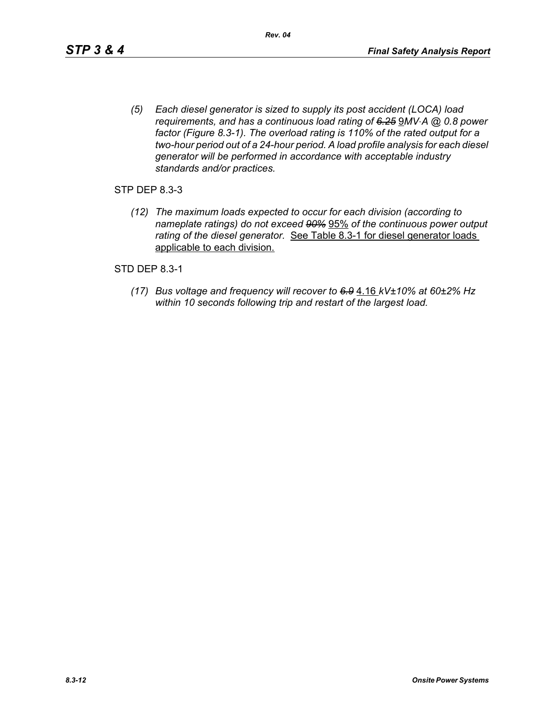*(5) Each diesel generator is sized to supply its post accident (LOCA) load requirements, and has a continuous load rating of 6.25* 9*MV*⋅*A @ 0.8 power factor (Figure 8.3-1). The overload rating is 110% of the rated output for a two-hour period out of a 24-hour period. A load profile analysis for each diesel generator will be performed in accordance with acceptable industry standards and/or practices.*

STP DEP 8.3-3

*(12) The maximum loads expected to occur for each division (according to nameplate ratings) do not exceed 90%* 95% *of the continuous power output rating of the diesel generator.* See Table 8.3-1 for diesel generator loads applicable to each division.

STD DEP 8.3-1

*(17) Bus voltage and frequency will recover to 6.9* 4.16 *kV±10% at 60±2% Hz within 10 seconds following trip and restart of the largest load.*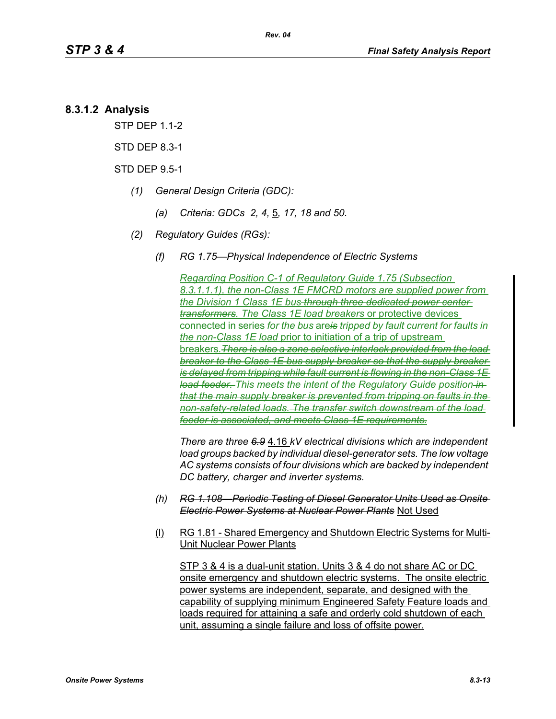# **8.3.1.2 Analysis**

STP DEP 1.1-2

STD DEP 8.3-1

STD DEP 9.5-1

- *(1) General Design Criteria (GDC):*
	- *(a) Criteria: GDCs 2, 4,* 5*, 17, 18 and 50.*
- *(2) Regulatory Guides (RGs):*
	- *(f) RG 1.75—Physical Independence of Electric Systems*

*Regarding Position C-1 of Regulatory Guide 1.75 (Subsection 8.3.1.1.1), the non-Class 1E FMCRD motors are supplied power from the Division 1 Class 1E bus through three dedicated power center transformers. The Class 1E load breakers* or protective devices connected in series *for the bus* are*is tripped by fault current for faults in the non-Class 1E load* prior to initiation of a trip of upstream breakers*.There is also a zone selective interlock provided from the load breaker to the Class 1E bus supply breaker so that the supply breaker is delayed from tripping while fault current is flowing in the non-Class 1E load feeder. This meets the intent of the Regulatory Guide position in that the main supply breaker is prevented from tripping on faults in the non-safety-related loads. The transfer switch downstream of the load feeder is associated, and meets Class 1E requirements.*

*There are three 6.9* 4.16 *kV electrical divisions which are independent load groups backed by individual diesel-generator sets. The low voltage AC systems consists of four divisions which are backed by independent DC battery, charger and inverter systems.*

- *(h) RG 1.108—Periodic Testing of Diesel Generator Units Used as Onsite Electric Power Systems at Nuclear Power Plants* Not Used
- (l) RG 1.81 Shared Emergency and Shutdown Electric Systems for Multi-Unit Nuclear Power Plants

STP 3 & 4 is a dual-unit station. Units 3 & 4 do not share AC or DC onsite emergency and shutdown electric systems. The onsite electric power systems are independent, separate, and designed with the capability of supplying minimum Engineered Safety Feature loads and loads required for attaining a safe and orderly cold shutdown of each unit, assuming a single failure and loss of offsite power.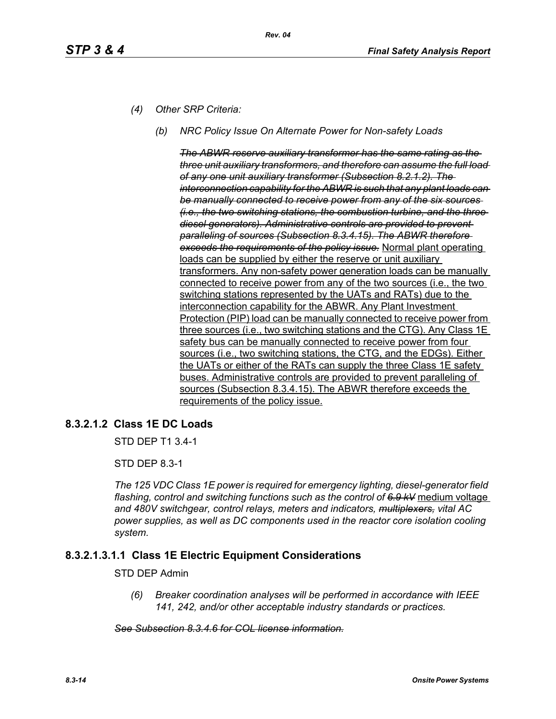- *(4) Other SRP Criteria:*
	- *(b) NRC Policy Issue On Alternate Power for Non-safety Loads*

*The ABWR reserve auxiliary transformer has the same rating as the three unit auxiliary transformers, and therefore can assume the full load of any one unit auxiliary transformer (Subsection 8.2.1.2). The interconnection capability for the ABWR is such that any plant loads can be manually connected to receive power from any of the six sources (i.e., the two switching stations, the combustion turbine, and the three diesel generators). Administrative controls are provided to prevent paralleling of sources (Subsection 8.3.4.15). The ABWR therefore exceeds the requirements of the policy issue.* Normal plant operating loads can be supplied by either the reserve or unit auxiliary transformers. Any non-safety power generation loads can be manually connected to receive power from any of the two sources (i.e., the two switching stations represented by the UATs and RATs) due to the interconnection capability for the ABWR. Any Plant Investment Protection (PIP) load can be manually connected to receive power from three sources (i.e., two switching stations and the CTG). Any Class 1E safety bus can be manually connected to receive power from four sources (i.e., two switching stations, the CTG, and the EDGs). Either the UATs or either of the RATs can supply the three Class 1E safety buses. Administrative controls are provided to prevent paralleling of sources (Subsection 8.3.4.15). The ABWR therefore exceeds the requirements of the policy issue.

# **8.3.2.1.2 Class 1E DC Loads**

STD DEP T1 3.4-1

STD DEP 8.3-1

*The 125 VDC Class 1E power is required for emergency lighting, diesel-generator field flashing, control and switching functions such as the control of 6.9 kV* medium voltage *and 480V switchgear, control relays, meters and indicators, multiplexers, vital AC power supplies, as well as DC components used in the reactor core isolation cooling system.*

# **8.3.2.1.3.1.1 Class 1E Electric Equipment Considerations**

#### STD DEP Admin

*(6) Breaker coordination analyses will be performed in accordance with IEEE 141, 242, and/or other acceptable industry standards or practices.*

#### *See Subsection 8.3.4.6 for COL license information.*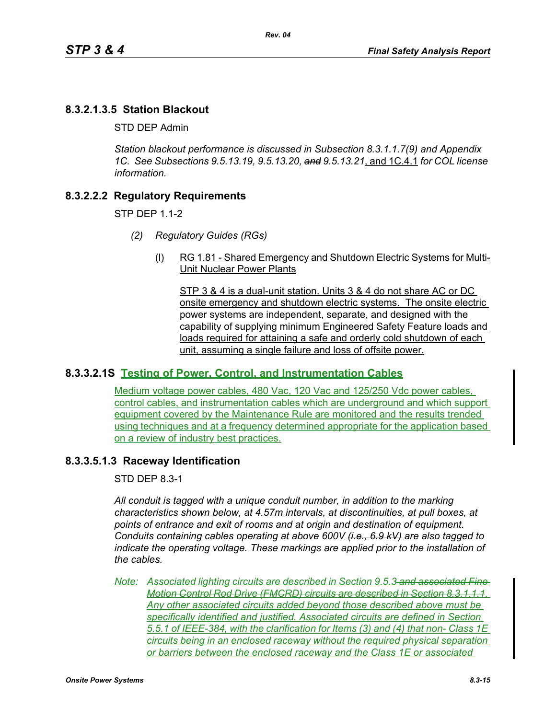# **8.3.2.1.3.5 Station Blackout**

STD DEP Admin

*Station blackout performance is discussed in Subsection 8.3.1.1.7(9) and Appendix 1C. See Subsections 9.5.13.19, 9.5.13.20, and 9.5.13.21*, and 1C.4.1 *for COL license information.*

# **8.3.2.2.2 Regulatory Requirements**

STP DEP 1.1-2

- *(2) Regulatory Guides (RGs)*
	- (l) RG 1.81 Shared Emergency and Shutdown Electric Systems for Multi-Unit Nuclear Power Plants

STP 3 & 4 is a dual-unit station. Units 3 & 4 do not share AC or DC onsite emergency and shutdown electric systems. The onsite electric power systems are independent, separate, and designed with the capability of supplying minimum Engineered Safety Feature loads and loads required for attaining a safe and orderly cold shutdown of each unit, assuming a single failure and loss of offsite power.

# **8.3.3.2.1S Testing of Power, Control, and Instrumentation Cables**

Medium voltage power cables, 480 Vac, 120 Vac and 125/250 Vdc power cables, control cables, and instrumentation cables which are underground and which support equipment covered by the Maintenance Rule are monitored and the results trended using techniques and at a frequency determined appropriate for the application based on a review of industry best practices.

### **8.3.3.5.1.3 Raceway Identification**

STD DEP 8.3-1

*All conduit is tagged with a unique conduit number, in addition to the marking characteristics shown below, at 4.57m intervals, at discontinuities, at pull boxes, at points of entrance and exit of rooms and at origin and destination of equipment. Conduits containing cables operating at above 600V (i.e., 6.9 kV) are also tagged to indicate the operating voltage. These markings are applied prior to the installation of the cables.*

*Note: Associated lighting circuits are described in Section 9.5.3 and associated Fine Motion Control Rod Drive (FMCRD) circuits are described in Section 8.3.1.1.1. Any other associated circuits added beyond those described above must be specifically identified and justified. Associated circuits are defined in Section 5.5.1 of IEEE-384, with the clarification for Items (3) and (4) that non- Class 1E circuits being in an enclosed raceway without the required physical separation or barriers between the enclosed raceway and the Class 1E or associated*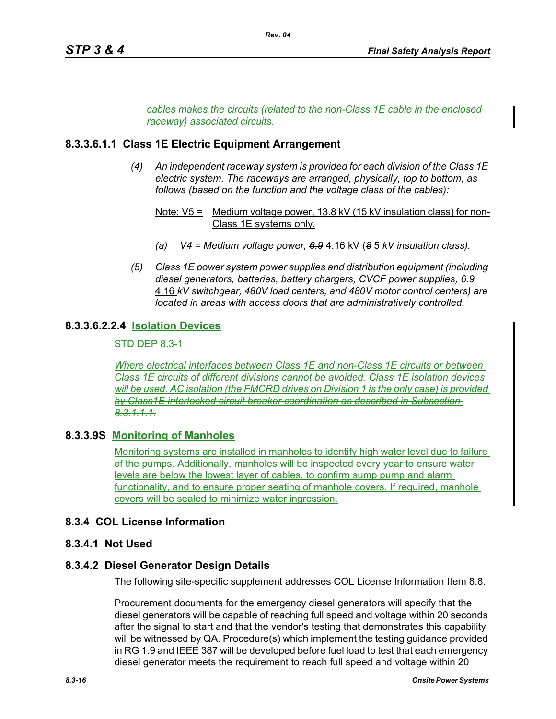*cables makes the circuits (related to the non-Class 1E cable in the enclosed raceway) associated circuits.*

*Rev. 04*

### **8.3.3.6.1.1 Class 1E Electric Equipment Arrangement**

*(4) An independent raceway system is provided for each division of the Class 1E electric system. The raceways are arranged, physically, top to bottom, as follows (based on the function and the voltage class of the cables):*

- *(a) V4 = Medium voltage power, 6.9* 4.16 kV (*8* 5 *kV insulation class).*
- *(5) Class 1E power system power supplies and distribution equipment (including diesel generators, batteries, battery chargers, CVCF power supplies, 6.9* 4.16 *kV switchgear, 480V load centers, and 480V motor control centers) are located in areas with access doors that are administratively controlled.*

# **8.3.3.6.2.2.4 Isolation Devices**

STD DEP 8.3-1

*Where electrical interfaces between Class 1E and non-Class 1E circuits or between Class 1E circuits of different divisions cannot be avoided, Class 1E isolation devices will be used. AC isolation (the FMCRD drives on Division 1 is the only case) is provided by Class1E interlocked circuit breaker coordination as described in Subsection 8.3.1.1.1.*

### **8.3.3.9S Monitoring of Manholes**

Monitoring systems are installed in manholes to identify high water level due to failure of the pumps. Additionally, manholes will be inspected every year to ensure water levels are below the lowest layer of cables, to confirm sump pump and alarm functionality, and to ensure proper seating of manhole covers. If required, manhole covers will be sealed to minimize water ingression.

### **8.3.4 COL License Information**

### **8.3.4.1 Not Used**

### **8.3.4.2 Diesel Generator Design Details**

The following site-specific supplement addresses COL License Information Item 8.8.

Procurement documents for the emergency diesel generators will specify that the diesel generators will be capable of reaching full speed and voltage within 20 seconds after the signal to start and that the vendor's testing that demonstrates this capability will be witnessed by QA. Procedure(s) which implement the testing guidance provided in RG 1.9 and IEEE 387 will be developed before fuel load to test that each emergency diesel generator meets the requirement to reach full speed and voltage within 20

Note: V5 = Medium voltage power, 13.8 kV (15 kV insulation class) for non-Class 1E systems only.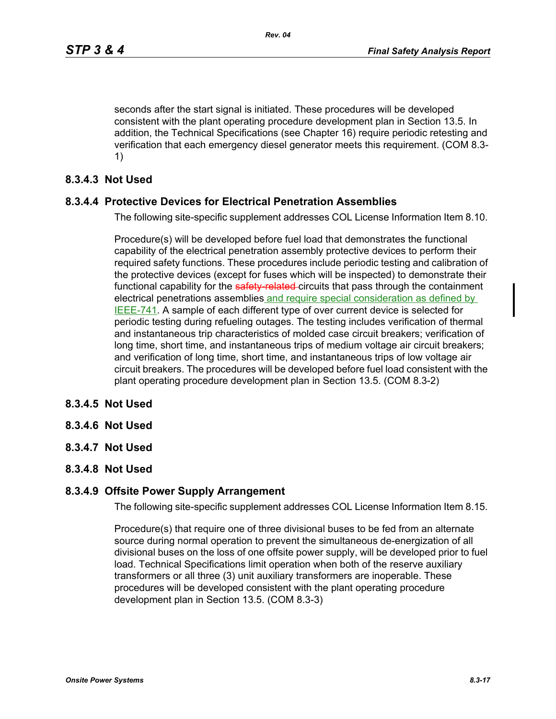seconds after the start signal is initiated. These procedures will be developed consistent with the plant operating procedure development plan in Section 13.5. In addition, the Technical Specifications (see Chapter 16) require periodic retesting and verification that each emergency diesel generator meets this requirement. (COM 8.3- 1)

### **8.3.4.3 Not Used**

### **8.3.4.4 Protective Devices for Electrical Penetration Assemblies**

The following site-specific supplement addresses COL License Information Item 8.10.

Procedure(s) will be developed before fuel load that demonstrates the functional capability of the electrical penetration assembly protective devices to perform their required safety functions. These procedures include periodic testing and calibration of the protective devices (except for fuses which will be inspected) to demonstrate their functional capability for the safety-related-circuits that pass through the containment electrical penetrations assemblies and require special consideration as defined by IEEE-741. A sample of each different type of over current device is selected for periodic testing during refueling outages. The testing includes verification of thermal and instantaneous trip characteristics of molded case circuit breakers; verification of long time, short time, and instantaneous trips of medium voltage air circuit breakers; and verification of long time, short time, and instantaneous trips of low voltage air circuit breakers. The procedures will be developed before fuel load consistent with the plant operating procedure development plan in Section 13.5. (COM 8.3-2)

### **8.3.4.5 Not Used**

- **8.3.4.6 Not Used**
- **8.3.4.7 Not Used**
- **8.3.4.8 Not Used**

### **8.3.4.9 Offsite Power Supply Arrangement**

The following site-specific supplement addresses COL License Information Item 8.15.

Procedure(s) that require one of three divisional buses to be fed from an alternate source during normal operation to prevent the simultaneous de-energization of all divisional buses on the loss of one offsite power supply, will be developed prior to fuel load. Technical Specifications limit operation when both of the reserve auxiliary transformers or all three (3) unit auxiliary transformers are inoperable. These procedures will be developed consistent with the plant operating procedure development plan in Section 13.5. (COM 8.3-3)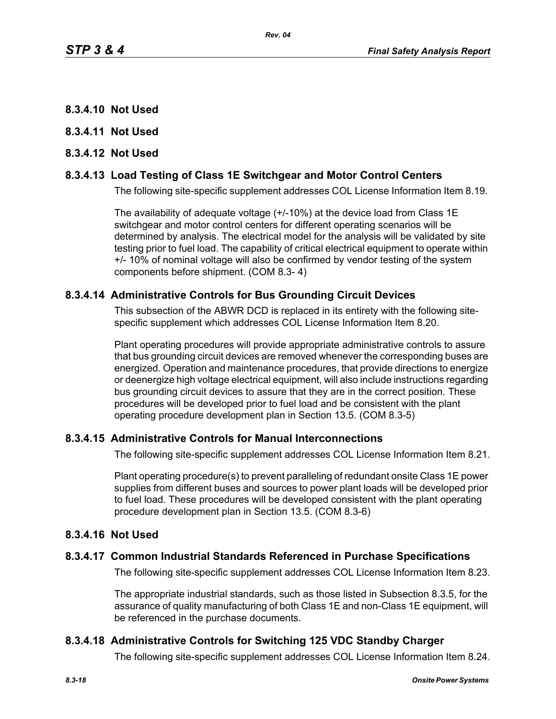- **8.3.4.10 Not Used**
- **8.3.4.11 Not Used**
- **8.3.4.12 Not Used**

### **8.3.4.13 Load Testing of Class 1E Switchgear and Motor Control Centers**

The following site-specific supplement addresses COL License Information Item 8.19.

The availability of adequate voltage (+/-10%) at the device load from Class 1E switchgear and motor control centers for different operating scenarios will be determined by analysis. The electrical model for the analysis will be validated by site testing prior to fuel load. The capability of critical electrical equipment to operate within +/- 10% of nominal voltage will also be confirmed by vendor testing of the system components before shipment. (COM 8.3- 4)

### **8.3.4.14 Administrative Controls for Bus Grounding Circuit Devices**

This subsection of the ABWR DCD is replaced in its entirety with the following sitespecific supplement which addresses COL License Information Item 8.20.

Plant operating procedures will provide appropriate administrative controls to assure that bus grounding circuit devices are removed whenever the corresponding buses are energized. Operation and maintenance procedures, that provide directions to energize or deenergize high voltage electrical equipment, will also include instructions regarding bus grounding circuit devices to assure that they are in the correct position. These procedures will be developed prior to fuel load and be consistent with the plant operating procedure development plan in Section 13.5. (COM 8.3-5)

# **8.3.4.15 Administrative Controls for Manual Interconnections**

The following site-specific supplement addresses COL License Information Item 8.21.

Plant operating procedure(s) to prevent paralleling of redundant onsite Class 1E power supplies from different buses and sources to power plant loads will be developed prior to fuel load. These procedures will be developed consistent with the plant operating procedure development plan in Section 13.5. (COM 8.3-6)

### **8.3.4.16 Not Used**

### **8.3.4.17 Common Industrial Standards Referenced in Purchase Specifications**

The following site-specific supplement addresses COL License Information Item 8.23.

The appropriate industrial standards, such as those listed in Subsection 8.3.5, for the assurance of quality manufacturing of both Class 1E and non-Class 1E equipment, will be referenced in the purchase documents.

### **8.3.4.18 Administrative Controls for Switching 125 VDC Standby Charger**

The following site-specific supplement addresses COL License Information Item 8.24.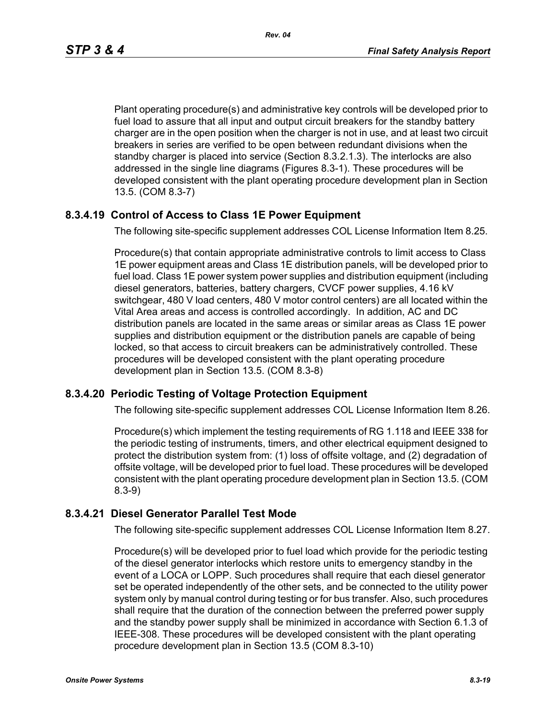Plant operating procedure(s) and administrative key controls will be developed prior to fuel load to assure that all input and output circuit breakers for the standby battery charger are in the open position when the charger is not in use, and at least two circuit breakers in series are verified to be open between redundant divisions when the standby charger is placed into service (Section 8.3.2.1.3). The interlocks are also addressed in the single line diagrams (Figures 8.3-1). These procedures will be developed consistent with the plant operating procedure development plan in Section 13.5. (COM 8.3-7)

# **8.3.4.19 Control of Access to Class 1E Power Equipment**

The following site-specific supplement addresses COL License Information Item 8.25.

Procedure(s) that contain appropriate administrative controls to limit access to Class 1E power equipment areas and Class 1E distribution panels, will be developed prior to fuel load. Class 1E power system power supplies and distribution equipment (including diesel generators, batteries, battery chargers, CVCF power supplies, 4.16 kV switchgear, 480 V load centers, 480 V motor control centers) are all located within the Vital Area areas and access is controlled accordingly. In addition, AC and DC distribution panels are located in the same areas or similar areas as Class 1E power supplies and distribution equipment or the distribution panels are capable of being locked, so that access to circuit breakers can be administratively controlled. These procedures will be developed consistent with the plant operating procedure development plan in Section 13.5. (COM 8.3-8)

### **8.3.4.20 Periodic Testing of Voltage Protection Equipment**

The following site-specific supplement addresses COL License Information Item 8.26.

Procedure(s) which implement the testing requirements of RG 1.118 and IEEE 338 for the periodic testing of instruments, timers, and other electrical equipment designed to protect the distribution system from: (1) loss of offsite voltage, and (2) degradation of offsite voltage, will be developed prior to fuel load. These procedures will be developed consistent with the plant operating procedure development plan in Section 13.5. (COM 8.3-9)

### **8.3.4.21 Diesel Generator Parallel Test Mode**

The following site-specific supplement addresses COL License Information Item 8.27.

Procedure(s) will be developed prior to fuel load which provide for the periodic testing of the diesel generator interlocks which restore units to emergency standby in the event of a LOCA or LOPP. Such procedures shall require that each diesel generator set be operated independently of the other sets, and be connected to the utility power system only by manual control during testing or for bus transfer. Also, such procedures shall require that the duration of the connection between the preferred power supply and the standby power supply shall be minimized in accordance with Section 6.1.3 of IEEE-308. These procedures will be developed consistent with the plant operating procedure development plan in Section 13.5 (COM 8.3-10)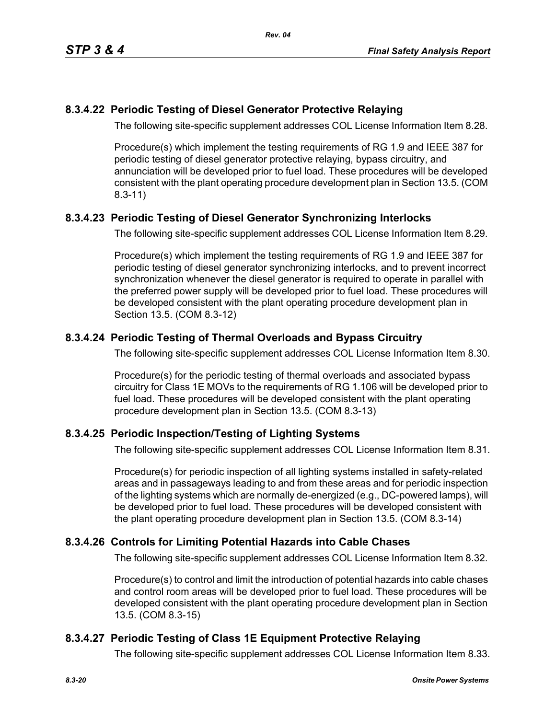# **8.3.4.22 Periodic Testing of Diesel Generator Protective Relaying**

The following site-specific supplement addresses COL License Information Item 8.28.

Procedure(s) which implement the testing requirements of RG 1.9 and IEEE 387 for periodic testing of diesel generator protective relaying, bypass circuitry, and annunciation will be developed prior to fuel load. These procedures will be developed consistent with the plant operating procedure development plan in Section 13.5. (COM 8.3-11)

# **8.3.4.23 Periodic Testing of Diesel Generator Synchronizing Interlocks**

The following site-specific supplement addresses COL License Information Item 8.29.

Procedure(s) which implement the testing requirements of RG 1.9 and IEEE 387 for periodic testing of diesel generator synchronizing interlocks, and to prevent incorrect synchronization whenever the diesel generator is required to operate in parallel with the preferred power supply will be developed prior to fuel load. These procedures will be developed consistent with the plant operating procedure development plan in Section 13.5. (COM 8.3-12)

# **8.3.4.24 Periodic Testing of Thermal Overloads and Bypass Circuitry**

The following site-specific supplement addresses COL License Information Item 8.30.

Procedure(s) for the periodic testing of thermal overloads and associated bypass circuitry for Class 1E MOVs to the requirements of RG 1.106 will be developed prior to fuel load. These procedures will be developed consistent with the plant operating procedure development plan in Section 13.5. (COM 8.3-13)

# **8.3.4.25 Periodic Inspection/Testing of Lighting Systems**

The following site-specific supplement addresses COL License Information Item 8.31.

Procedure(s) for periodic inspection of all lighting systems installed in safety-related areas and in passageways leading to and from these areas and for periodic inspection of the lighting systems which are normally de-energized (e.g., DC-powered lamps), will be developed prior to fuel load. These procedures will be developed consistent with the plant operating procedure development plan in Section 13.5. (COM 8.3-14)

# **8.3.4.26 Controls for Limiting Potential Hazards into Cable Chases**

The following site-specific supplement addresses COL License Information Item 8.32.

Procedure(s) to control and limit the introduction of potential hazards into cable chases and control room areas will be developed prior to fuel load. These procedures will be developed consistent with the plant operating procedure development plan in Section 13.5. (COM 8.3-15)

# **8.3.4.27 Periodic Testing of Class 1E Equipment Protective Relaying**

The following site-specific supplement addresses COL License Information Item 8.33.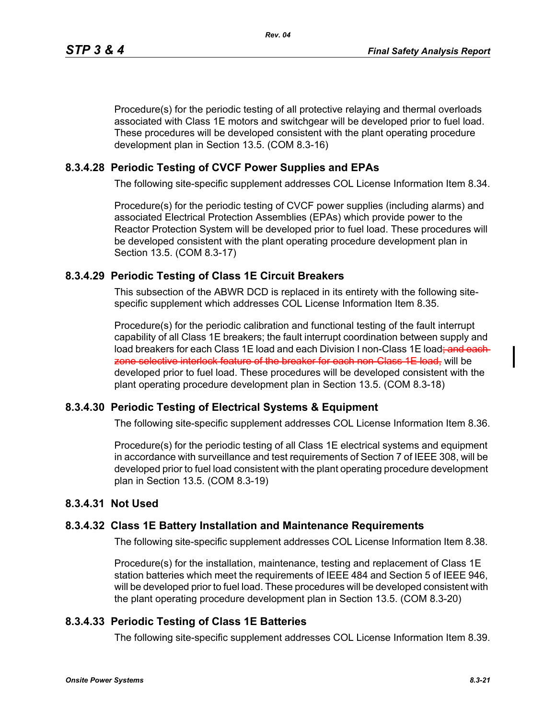Procedure(s) for the periodic testing of all protective relaying and thermal overloads associated with Class 1E motors and switchgear will be developed prior to fuel load. These procedures will be developed consistent with the plant operating procedure development plan in Section 13.5. (COM 8.3-16)

### **8.3.4.28 Periodic Testing of CVCF Power Supplies and EPAs**

The following site-specific supplement addresses COL License Information Item 8.34.

Procedure(s) for the periodic testing of CVCF power supplies (including alarms) and associated Electrical Protection Assemblies (EPAs) which provide power to the Reactor Protection System will be developed prior to fuel load. These procedures will be developed consistent with the plant operating procedure development plan in Section 13.5. (COM 8.3-17)

### **8.3.4.29 Periodic Testing of Class 1E Circuit Breakers**

This subsection of the ABWR DCD is replaced in its entirety with the following sitespecific supplement which addresses COL License Information Item 8.35.

Procedure(s) for the periodic calibration and functional testing of the fault interrupt capability of all Class 1E breakers; the fault interrupt coordination between supply and load breakers for each Class 1E load and each Division I non-Class 1E load<del>; and each</del> zone selective interlock feature of the breaker for each non-Class 1E load, will be developed prior to fuel load. These procedures will be developed consistent with the plant operating procedure development plan in Section 13.5. (COM 8.3-18)

### **8.3.4.30 Periodic Testing of Electrical Systems & Equipment**

The following site-specific supplement addresses COL License Information Item 8.36.

Procedure(s) for the periodic testing of all Class 1E electrical systems and equipment in accordance with surveillance and test requirements of Section 7 of IEEE 308, will be developed prior to fuel load consistent with the plant operating procedure development plan in Section 13.5. (COM 8.3-19)

### **8.3.4.31 Not Used**

#### **8.3.4.32 Class 1E Battery Installation and Maintenance Requirements**

The following site-specific supplement addresses COL License Information Item 8.38.

Procedure(s) for the installation, maintenance, testing and replacement of Class 1E station batteries which meet the requirements of IEEE 484 and Section 5 of IEEE 946, will be developed prior to fuel load. These procedures will be developed consistent with the plant operating procedure development plan in Section 13.5. (COM 8.3-20)

### **8.3.4.33 Periodic Testing of Class 1E Batteries**

The following site-specific supplement addresses COL License Information Item 8.39.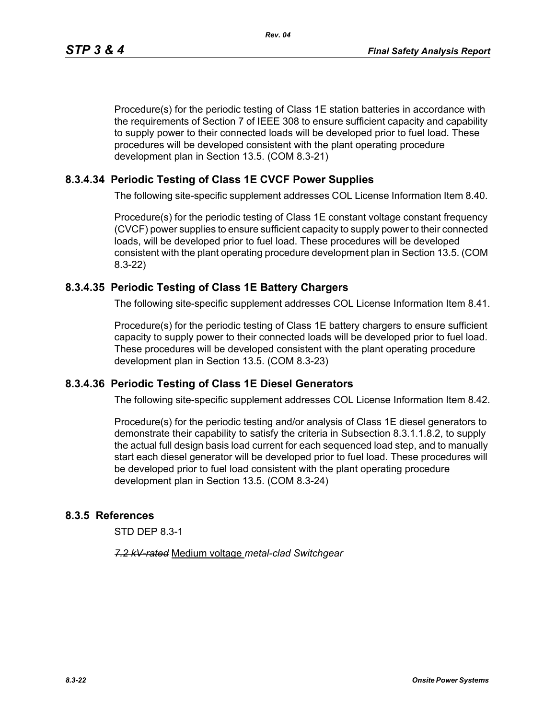Procedure(s) for the periodic testing of Class 1E station batteries in accordance with the requirements of Section 7 of IEEE 308 to ensure sufficient capacity and capability to supply power to their connected loads will be developed prior to fuel load. These procedures will be developed consistent with the plant operating procedure development plan in Section 13.5. (COM 8.3-21)

# **8.3.4.34 Periodic Testing of Class 1E CVCF Power Supplies**

The following site-specific supplement addresses COL License Information Item 8.40.

Procedure(s) for the periodic testing of Class 1E constant voltage constant frequency (CVCF) power supplies to ensure sufficient capacity to supply power to their connected loads, will be developed prior to fuel load. These procedures will be developed consistent with the plant operating procedure development plan in Section 13.5. (COM 8.3-22)

# **8.3.4.35 Periodic Testing of Class 1E Battery Chargers**

The following site-specific supplement addresses COL License Information Item 8.41.

Procedure(s) for the periodic testing of Class 1E battery chargers to ensure sufficient capacity to supply power to their connected loads will be developed prior to fuel load. These procedures will be developed consistent with the plant operating procedure development plan in Section 13.5. (COM 8.3-23)

# **8.3.4.36 Periodic Testing of Class 1E Diesel Generators**

The following site-specific supplement addresses COL License Information Item 8.42.

Procedure(s) for the periodic testing and/or analysis of Class 1E diesel generators to demonstrate their capability to satisfy the criteria in Subsection 8.3.1.1.8.2, to supply the actual full design basis load current for each sequenced load step, and to manually start each diesel generator will be developed prior to fuel load. These procedures will be developed prior to fuel load consistent with the plant operating procedure development plan in Section 13.5. (COM 8.3-24)

# **8.3.5 References**

STD DEP 8.3-1

*7.2 kV-rated* Medium voltage *metal-clad Switchgear*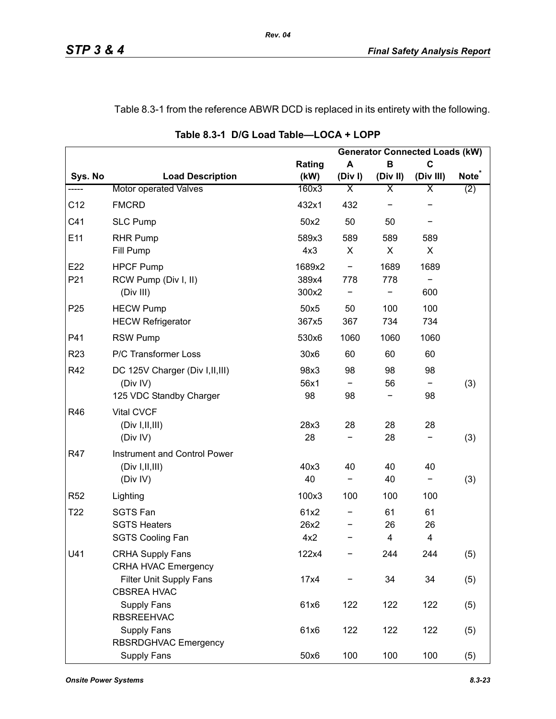# Table 8.3-1 from the reference ABWR DCD is replaced in its entirety with the following.

|                 |                                                                         |                     |                          |               | <b>Generator Connected Loads (kW)</b> |                   |
|-----------------|-------------------------------------------------------------------------|---------------------|--------------------------|---------------|---------------------------------------|-------------------|
|                 |                                                                         | Rating              | A                        | B             | $\mathbf C$                           |                   |
| Sys. No         | <b>Load Description</b>                                                 | (kW)                | (Div)                    | (Div II)      | (Div III)                             | Note <sup>®</sup> |
| -----           | Motor operated Valves                                                   | 160x3               | $\overline{\mathsf{x}}$  | Χ             | Χ                                     | (2)               |
| C12             | <b>FMCRD</b>                                                            | 432x1               | 432                      |               |                                       |                   |
| C41             | <b>SLC Pump</b>                                                         | 50x2                | 50                       | 50            |                                       |                   |
| E11             | <b>RHR Pump</b><br>Fill Pump                                            | 589x3<br>4x3        | 589<br>X                 | 589<br>X      | 589<br>X                              |                   |
| E22             | <b>HPCF Pump</b>                                                        | 1689x2              | $\overline{\phantom{a}}$ | 1689          | 1689                                  |                   |
| P21             | RCW Pump (Div I, II)<br>(Div III)                                       | 389x4<br>300x2      | 778                      | 778           | 600                                   |                   |
| P <sub>25</sub> | <b>HECW Pump</b><br><b>HECW Refrigerator</b>                            | 50x5<br>367x5       | 50<br>367                | 100<br>734    | 100<br>734                            |                   |
| P41             | <b>RSW Pump</b>                                                         | 530x6               | 1060                     | 1060          | 1060                                  |                   |
| R <sub>23</sub> | P/C Transformer Loss                                                    | 30x6                | 60                       | 60            | 60                                    |                   |
| R42             | DC 125V Charger (Div I, II, III)<br>(Div IV)<br>125 VDC Standby Charger | 98x3<br>56x1<br>98  | 98<br>98                 | 98<br>56      | 98<br>98                              | (3)               |
| R46             | <b>Vital CVCF</b><br>(Div I, II, III)<br>(Div IV)                       | 28x3<br>28          | 28                       | 28<br>28      | 28                                    | (3)               |
| R47             | Instrument and Control Power<br>(Div I, II, III)<br>(Div IV)            | 40x3<br>40          | 40<br>-                  | 40<br>40      | 40<br>-                               | (3)               |
| R <sub>52</sub> | Lighting                                                                | 100x3               | 100                      | 100           | 100                                   |                   |
| T <sub>22</sub> | <b>SGTS Fan</b><br><b>SGTS Heaters</b><br><b>SGTS Cooling Fan</b>       | 61x2<br>26x2<br>4x2 |                          | 61<br>26<br>4 | 61<br>26<br>4                         |                   |
| U41             | <b>CRHA Supply Fans</b><br><b>CRHA HVAC Emergency</b>                   | 122x4               |                          | 244           | 244                                   | (5)               |
|                 | Filter Unit Supply Fans<br><b>CBSREA HVAC</b>                           | 17x4                |                          | 34            | 34                                    | (5)               |
|                 | <b>Supply Fans</b><br><b>RBSREEHVAC</b>                                 | 61x6                | 122                      | 122           | 122                                   | (5)               |
|                 | <b>Supply Fans</b><br>RBSRDGHVAC Emergency                              | 61x6                | 122                      | 122           | 122                                   | (5)               |
|                 | Supply Fans                                                             | 50x6                | 100                      | 100           | 100                                   | (5)               |

**Table 8.3-1 D/G Load Table—LOCA + LOPP**

*Rev. 04*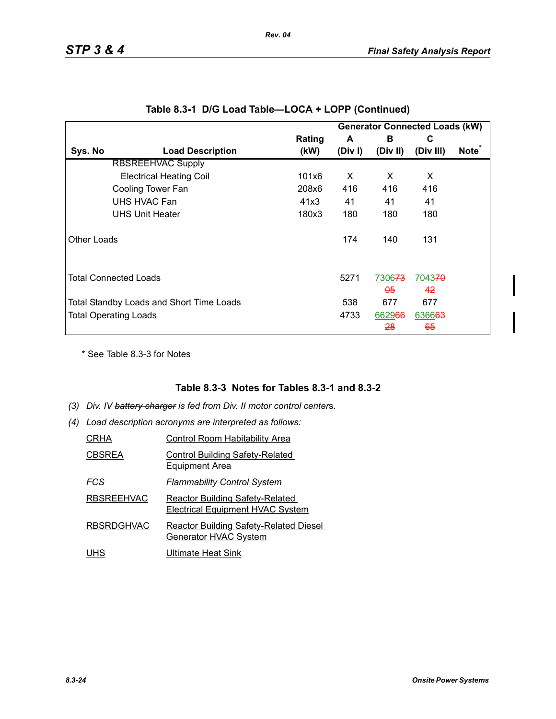|                    |                                          |        |         |                                     | <b>Generator Connected Loads (kW)</b> |                   |
|--------------------|------------------------------------------|--------|---------|-------------------------------------|---------------------------------------|-------------------|
|                    |                                          | Rating | A       | в                                   | С                                     |                   |
| Sys. No            | <b>Load Description</b>                  | (kW)   | (Div I) | (Div II)                            | (Div III)                             | Note <sup>*</sup> |
|                    | <b>RBSREEHVAC Supply</b>                 |        |         |                                     |                                       |                   |
|                    | <b>Electrical Heating Coil</b>           | 101x6  | X       | X                                   | X                                     |                   |
|                    | Cooling Tower Fan                        | 208x6  | 416     | 416                                 | 416                                   |                   |
|                    | UHS HVAC Fan                             | 41x3   | 41      | 41                                  | 41                                    |                   |
|                    | <b>UHS Unit Heater</b>                   | 180x3  | 180     | 180                                 | 180                                   |                   |
| <b>Other Loads</b> |                                          |        | 174     | 140                                 | 131                                   |                   |
|                    | <b>Total Connected Loads</b>             |        | 5271    | 7306 <del>73</del><br><del>05</del> | 704370<br>42                          |                   |
|                    | Total Standby Loads and Short Time Loads |        | 538     | 677                                 | 677                                   |                   |
|                    | <b>Total Operating Loads</b>             |        | 4733    | 662966                              | 636663                                |                   |
|                    |                                          |        |         | <del>28</del>                       | 65                                    |                   |

|  |  |  | Table 8.3-1 D/G Load Table—LOCA + LOPP (Continued) |  |
|--|--|--|----------------------------------------------------|--|
|--|--|--|----------------------------------------------------|--|

*Rev. 04*

\* See Table 8.3-3 for Notes

### **Table 8.3-3 Notes for Tables 8.3-1 and 8.3-2**

- *(3) Div. IV battery charger is fed from Div. II motor control center*s*.*
- *(4) Load description acronyms are interpreted as follows:*

| CRHA              | <b>Control Room Habitability Area</b>                                             |
|-------------------|-----------------------------------------------------------------------------------|
| CBSREA            | <b>Control Building Safety-Related</b><br><b>Equipment Area</b>                   |
| FGS               | <b>Flammability Control System</b>                                                |
| <b>RBSREEHVAC</b> | <b>Reactor Building Safety-Related</b><br><b>Electrical Equipment HVAC System</b> |
| <b>RBSRDGHVAC</b> | <b>Reactor Building Safety-Related Diesel</b><br><b>Generator HVAC System</b>     |
| JHS               | Ultimate Heat Sink                                                                |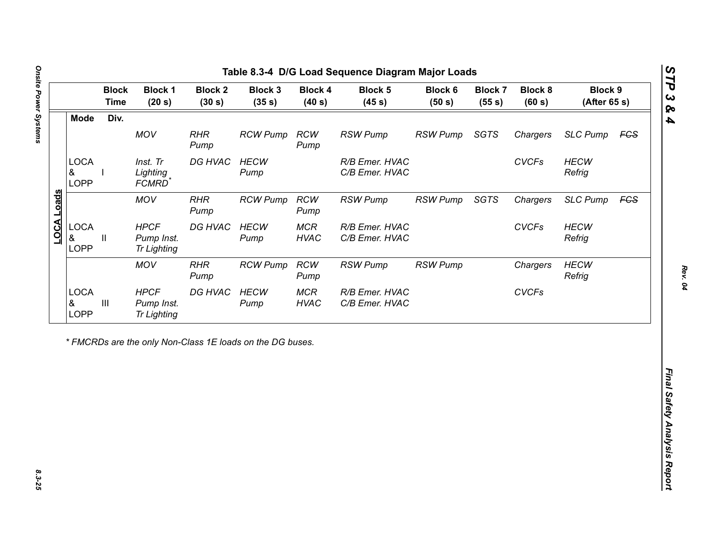| Div.<br><b>Mode</b><br>MOV<br><b>RHR</b><br><b>RCW</b><br><b>RSW Pump</b><br><b>RSW Pump</b><br><b>SGTS</b><br><b>RCW Pump</b><br>Chargers<br>Pump<br>Pump<br><b>LOCA</b><br>DG HVAC<br>R/B Emer. HVAC<br><b>CVCFs</b><br>Inst. Tr<br><b>HECW</b><br>&<br>Lighting<br>C/B Emer. HVAC<br>Pump<br><b>LOPP</b><br>FCMRD <sup>*</sup><br><b>LOCA Loads</b><br>MOV<br><b>RHR</b><br><b>RSW Pump</b><br>SGTS<br><b>RCW Pump</b><br><b>RCW</b><br><b>RSW Pump</b><br>Chargers<br>Pump<br>Pump<br><b>LOCA</b><br><b>HPCF</b><br>DG HVAC<br><b>HECW</b><br><b>MCR</b><br><b>CVCFs</b><br>R/B Emer. HVAC<br>&<br>Ш<br>Pump Inst.<br><b>HVAC</b><br>C/B Emer. HVAC<br>Pump | <b>SLC Pump</b><br><b>FCS</b><br><b>HECW</b><br>Refrig<br><b>SLC Pump</b><br><b>FCS</b><br><b>HECW</b><br>Refrig<br><b>HECW</b> |
|-----------------------------------------------------------------------------------------------------------------------------------------------------------------------------------------------------------------------------------------------------------------------------------------------------------------------------------------------------------------------------------------------------------------------------------------------------------------------------------------------------------------------------------------------------------------------------------------------------------------------------------------------------------------|---------------------------------------------------------------------------------------------------------------------------------|
|                                                                                                                                                                                                                                                                                                                                                                                                                                                                                                                                                                                                                                                                 |                                                                                                                                 |
|                                                                                                                                                                                                                                                                                                                                                                                                                                                                                                                                                                                                                                                                 |                                                                                                                                 |
|                                                                                                                                                                                                                                                                                                                                                                                                                                                                                                                                                                                                                                                                 |                                                                                                                                 |
|                                                                                                                                                                                                                                                                                                                                                                                                                                                                                                                                                                                                                                                                 |                                                                                                                                 |
| <b>LOPP</b><br><b>Tr Lighting</b>                                                                                                                                                                                                                                                                                                                                                                                                                                                                                                                                                                                                                               |                                                                                                                                 |
| <b>RSW Pump</b><br><b>MOV</b><br><b>RHR</b><br><b>RCW</b><br><b>RSW Pump</b><br><b>RCW Pump</b><br>Chargers<br>Pump<br>Pump                                                                                                                                                                                                                                                                                                                                                                                                                                                                                                                                     | Refrig                                                                                                                          |
| <b>LOCA</b><br><b>HPCF</b><br>DG HVAC<br><b>HECW</b><br><b>MCR</b><br>R/B Emer. HVAC<br><b>CVCFs</b><br>$\ensuremath{\mathsf{III}}\xspace$<br>&<br>Pump Inst.<br>Pump<br><b>HVAC</b><br>C/B Emer. HVAC<br><b>LOPP</b><br><b>Tr Lighting</b>                                                                                                                                                                                                                                                                                                                                                                                                                     |                                                                                                                                 |

Ŀ

*STP 3 & 4*